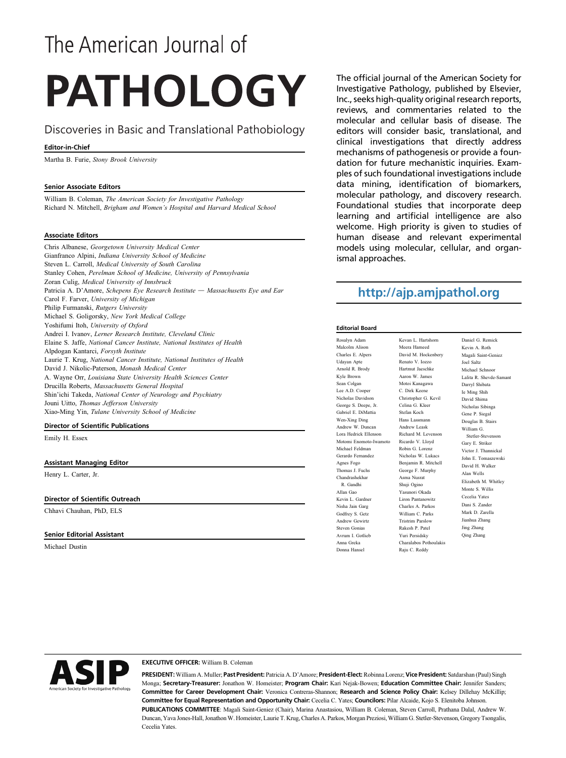# The American Journal of

# **PATHOLOGY**

### Discoveries in Basic and Translational Pathobiology

#### Editor-in-Chief

Martha B. Furie, Stony Brook University

#### Senior Associate Editors

William B. Coleman, The American Society for Investigative Pathology Richard N. Mitchell, Brigham and Women's Hospital and Harvard Medical School

#### Associate Editors

Chris Albanese, Georgetown University Medical Center Gianfranco Alpini, Indiana University School of Medicine Steven L. Carroll, Medical University of South Carolina Stanley Cohen, Perelman School of Medicine, University of Pennsylvania Zoran Culig, Medical University of Innsbruck Patricia A. D'Amore, Schepens Eye Research Institute  $-$  Massachusetts Eye and Ear Carol F. Farver, University of Michigan Philip Furmanski, Rutgers University Michael S. Goligorsky, New York Medical College Yoshifumi Itoh, University of Oxford Andrei I. Ivanov, Lerner Research Institute, Cleveland Clinic Elaine S. Jaffe, National Cancer Institute, National Institutes of Health Alpdogan Kantarci, Forsyth Institute Laurie T. Krug, National Cancer Institute, National Institutes of Health David J. Nikolic-Paterson, Monash Medical Center A. Wayne Orr, Louisiana State University Health Sciences Center Drucilla Roberts, Massachusetts General Hospital Shin'ichi Takeda, National Center of Neurology and Psychiatry Jouni Uitto, Thomas Jefferson University Xiao-Ming Yin, Tulane University School of Medicine

#### Director of Scientific Publications

Emily H. Essex

#### Assistant Managing Editor

Henry L. Carter, Jr.

#### Director of Scientific Outreach

Chhavi Chauhan, PhD, ELS

#### Senior Editorial Assistant

Michael Dustin

The official journal of the American Society for Investigative Pathology, published by Elsevier, Inc., seeks high-quality original research reports, reviews, and commentaries related to the molecular and cellular basis of disease. The editors will consider basic, translational, and clinical investigations that directly address mechanisms of pathogenesis or provide a foundation for future mechanistic inquiries. Examples of such foundational investigations include data mining, identification of biomarkers, molecular pathology, and discovery research. Foundational studies that incorporate deep learning and artificial intelligence are also welcome. High priority is given to studies of human disease and relevant experimental models using molecular, cellular, and organismal approaches.

## <http://ajp.amjpathol.org>

Kevan L. Hartshorn Meera Hameed David M. Hockenbery Renato V. Iozzo Hartmut Jaeschke Aaron W. James Motoi Kanagawa C. Dirk Keene Christopher G. Kevil Celina G. Kleer Stefan Koch Hans Lassmann Andrew Leask Richard M. Levens Ricardo V. Lloyd Robin G. Lorenz Nicholas W. Lukacs Benjamin R. Mitchell George F. Murphy Asma Nusrat Shuji Ogino Yasunori Okada Liron Pantanowitz Charles A. Parkos William C. Parks Tristrim Parslow Rakesh P. Patel Yuri Persidsky Charalabos Pothoulakis Raju C. Reddy

#### Editorial Board

| Rosalyn Adam           |
|------------------------|
| Malcolm Alison         |
| Charles E. Alpers      |
| Udayan Apte            |
| Arnold R. Brody        |
| Kyle Brown             |
| Sean Colgan            |
| Lee A.D. Cooper        |
| Nicholas Davidson      |
| George S. Deepe, Jr.   |
| Gabriel E. DiMattia    |
| Wen-Xing Ding          |
| Andrew W. Duncan       |
| Lora Hedrick Ellenson  |
| Motomi Enomoto-Iwamoto |
| Michael Feldman        |
| Gerardo Fernandez      |
| Agnes Fogo             |
| Thomas J. Fuchs        |
| Chandrashekhar         |
| R. Gandhi              |
| Allan Gao              |
| Kevin L. Gardner       |
| Nisha Jain Garg        |
| Godfrey S. Getz        |
| Andrew Gewirtz         |
| Steven Gonias          |
| Avrum I. Gotlieb       |
| Anna Greka             |
| Donna Hansel           |
|                        |

Daniel G. Remick Kevin A. Roth Magali Saint-Geniez Joel Saltz Michael Schnoor Lalita R. Shevde-Samant Darryl Shibata Ie Ming Shih David Shima Nicholas Sibinga Gene P. Siegal Douglas B. Stairs William G. Stetler-Steven Gary E. Striker Victor J. Thannickal John E. Tomaszewski David H. Walker Alan Wells Elizabeth M. Whitley Monte S. Willis Cecelia Yates Dani S. Zander Mark D. Zarella Jianhua Zhang Jing Zhang Qing Zhang

#### EXECUTIVE OFFICER: William B. Coleman

PRESIDENT: William A. Muller; Past President: Patricia A. D'Amore; President-Elect: Robinna Lorenz; Vice President: Satdarshan (Paul) Singh Monga; Secretary-Treasurer: Jonathon W. Homeister; Program Chair: Kari Nejak-Bowen; Education Committee Chair: Jennifer Sanders; Committee for Career Development Chair: Veronica Contreras-Shannon; Research and Science Policy Chair: Kelsey Dillehay McKillip; Committee for Equal Representation and Opportunity Chair: Cecelia C. Yates; Councilors: Pilar Alcaide, Kojo S. Elenitoba Johnson. PUBLICATIONS COMMITTEE: Magali Saint-Geniez (Chair), Marina Anastasiou, William B. Coleman, Steven Carroll, Prathana Dalal, Andrew W. Duncan, Yava Jones-Hall, JonathonW. Homeister, Laurie T. Krug, Charles A. Parkos, Morgan Preziosi,William G. Stetler-Stevenson, Gregory Tsongalis, Cecelia Yates.